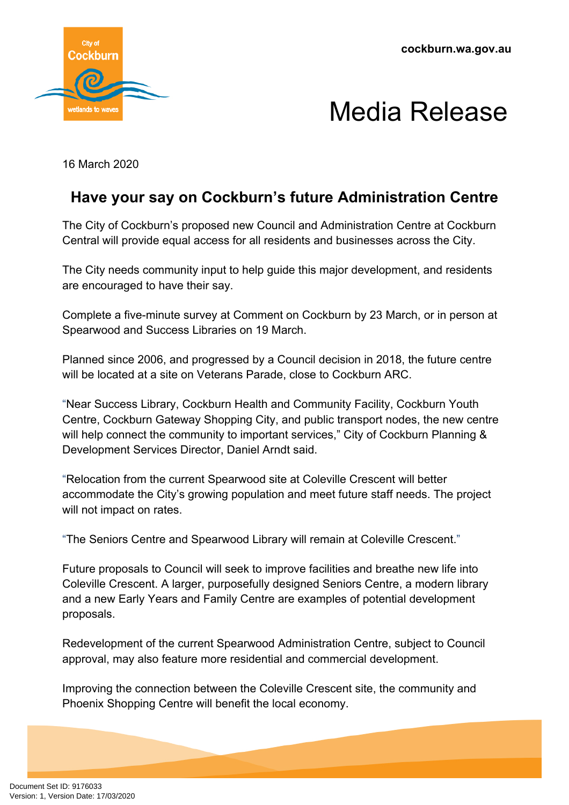

## Media Release

16 March 2020

## **Have your say on Cockburn's future Administration Centre**

The City of Cockburn's proposed new Council and Administration Centre at Cockburn Central will provide equal access for all residents and businesses across the City.

The City needs community input to help guide this major development, and residents are encouraged to have their say.

Complete a five-minute survey at Comment on Cockburn by 23 March, or in person at Spearwood and Success Libraries on 19 March.

Planned since 2006, and progressed by a Council decision in 2018, the future centre will be located at a site on Veterans Parade, close to Cockburn ARC.

"Near Success Library, Cockburn Health and Community Facility, Cockburn Youth Centre, Cockburn Gateway Shopping City, and public transport nodes, the new centre will help connect the community to important services," City of Cockburn Planning & Development Services Director, Daniel Arndt said.

"Relocation from the current Spearwood site at Coleville Crescent will better accommodate the City's growing population and meet future staff needs. The project will not impact on rates.

"The Seniors Centre and Spearwood Library will remain at Coleville Crescent."

Future proposals to Council will seek to improve facilities and breathe new life into Coleville Crescent. A larger, purposefully designed Seniors Centre, a modern library and a new Early Years and Family Centre are examples of potential development proposals.

Redevelopment of the current Spearwood Administration Centre, subject to Council approval, may also feature more residential and commercial development.

Improving the connection between the Coleville Crescent site, the community and Phoenix Shopping Centre will benefit the local economy.

Document Set ID: 9176033<br>Version: 1, Version Date: 17/03/2020